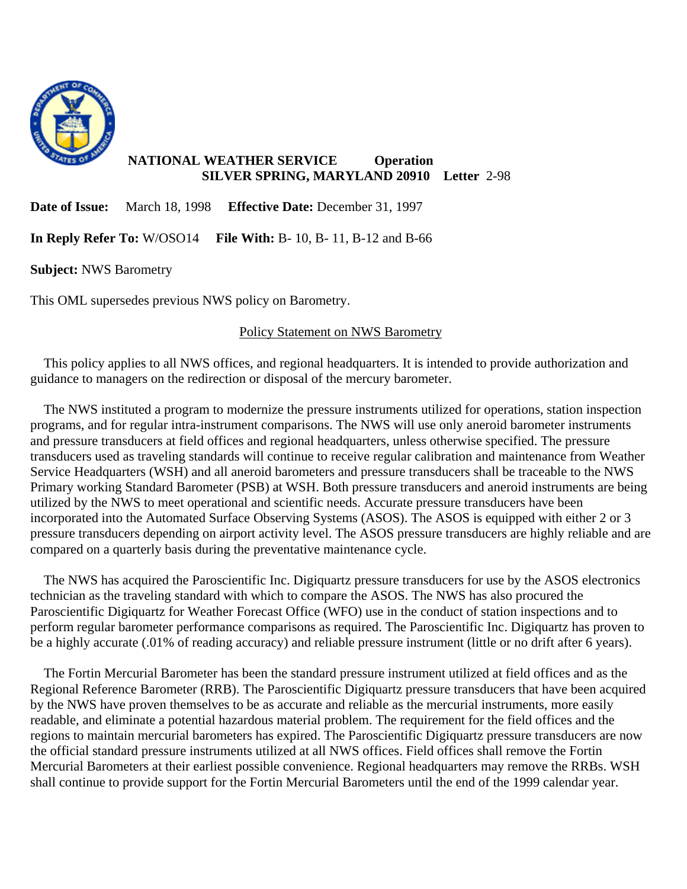

## **NATIONAL WEATHER SERVICE Operation SILVER SPRING, MARYLAND 20910 Letter** 2-98

**Date of Issue:** March 18, 1998 **Effective Date:** December 31, 1997

**In Reply Refer To:** W/OSO14 **File With:** B- 10, B- 11, B-12 and B-66

**Subject:** NWS Barometry

This OML supersedes previous NWS policy on Barometry.

## Policy Statement on NWS Barometry

 This policy applies to all NWS offices, and regional headquarters. It is intended to provide authorization and guidance to managers on the redirection or disposal of the mercury barometer.

 The NWS instituted a program to modernize the pressure instruments utilized for operations, station inspection programs, and for regular intra-instrument comparisons. The NWS will use only aneroid barometer instruments and pressure transducers at field offices and regional headquarters, unless otherwise specified. The pressure transducers used as traveling standards will continue to receive regular calibration and maintenance from Weather Service Headquarters (WSH) and all aneroid barometers and pressure transducers shall be traceable to the NWS Primary working Standard Barometer (PSB) at WSH. Both pressure transducers and aneroid instruments are being utilized by the NWS to meet operational and scientific needs. Accurate pressure transducers have been incorporated into the Automated Surface Observing Systems (ASOS). The ASOS is equipped with either 2 or 3 pressure transducers depending on airport activity level. The ASOS pressure transducers are highly reliable and are compared on a quarterly basis during the preventative maintenance cycle.

 The NWS has acquired the Paroscientific Inc. Digiquartz pressure transducers for use by the ASOS electronics technician as the traveling standard with which to compare the ASOS. The NWS has also procured the Paroscientific Digiquartz for Weather Forecast Office (WFO) use in the conduct of station inspections and to perform regular barometer performance comparisons as required. The Paroscientific Inc. Digiquartz has proven to be a highly accurate (.01% of reading accuracy) and reliable pressure instrument (little or no drift after 6 years).

 The Fortin Mercurial Barometer has been the standard pressure instrument utilized at field offices and as the Regional Reference Barometer (RRB). The Paroscientific Digiquartz pressure transducers that have been acquired by the NWS have proven themselves to be as accurate and reliable as the mercurial instruments, more easily readable, and eliminate a potential hazardous material problem. The requirement for the field offices and the regions to maintain mercurial barometers has expired. The Paroscientific Digiquartz pressure transducers are now the official standard pressure instruments utilized at all NWS offices. Field offices shall remove the Fortin Mercurial Barometers at their earliest possible convenience. Regional headquarters may remove the RRBs. WSH shall continue to provide support for the Fortin Mercurial Barometers until the end of the 1999 calendar year.